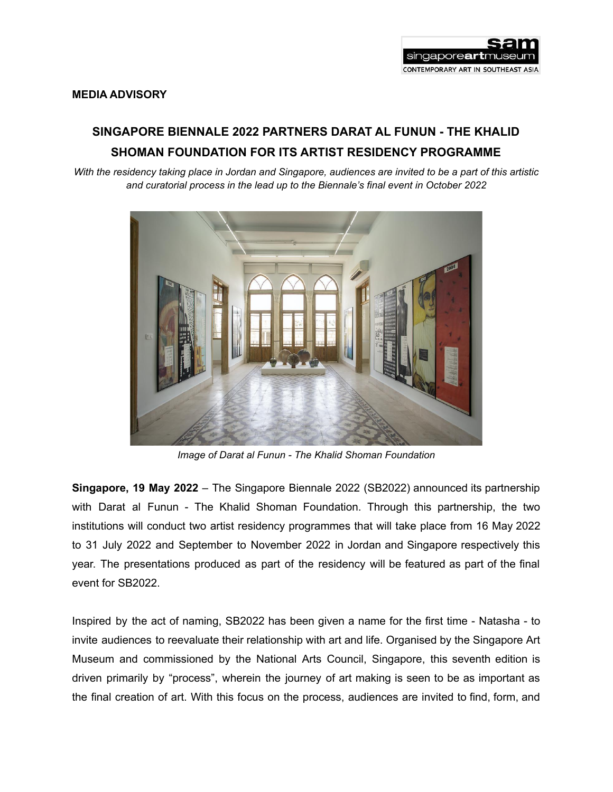

# **MEDIA ADVISORY**

# **SINGAPORE BIENNALE 2022 PARTNERS DARAT AL FUNUN - THE KHALID SHOMAN FOUNDATION FOR ITS ARTIST RESIDENCY PROGRAMME**

With the residency taking place in Jordan and Singapore, audiences are invited to be a part of this artistic *and curatorial process in the lead up to the Biennale's final event in October 2022*



*Image of Darat al Funun - The Khalid Shoman Foundation*

**Singapore, 19 May 2022** – The Singapore Biennale 2022 (SB2022) announced its partnership with Darat al Funun - The Khalid Shoman Foundation. Through this partnership, the two institutions will conduct two artist residency programmes that will take place from 16 May 2022 to 31 July 2022 and September to November 2022 in Jordan and Singapore respectively this year. The presentations produced as part of the residency will be featured as part of the final event for SB2022.

Inspired by the act of naming, SB2022 has been given a name for the first time - Natasha - to invite audiences to reevaluate their relationship with art and life. Organised by the Singapore Art Museum and commissioned by the National Arts Council, Singapore, this seventh edition is driven primarily by "process", wherein the journey of art making is seen to be as important as the final creation of art. With this focus on the process, audiences are invited to find, form, and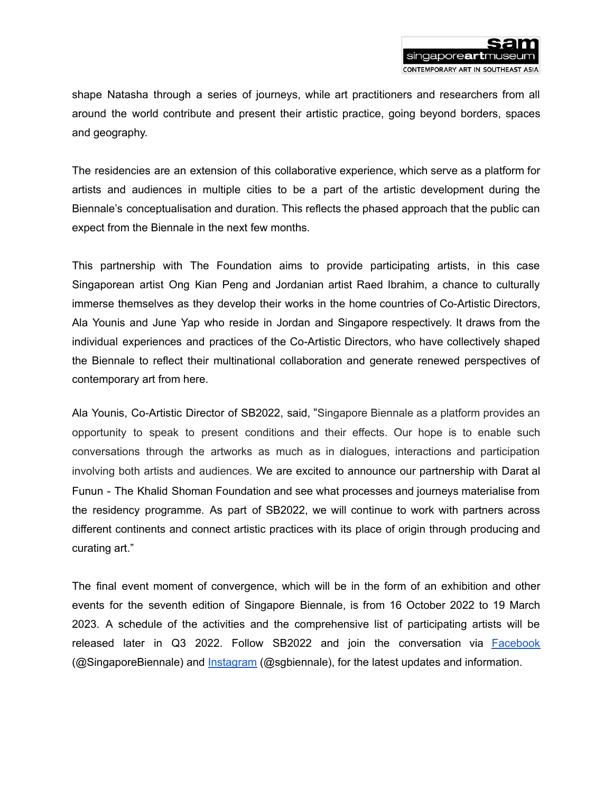

shape Natasha through a series of journeys, while art practitioners and researchers from all around the world contribute and present their artistic practice, going beyond borders, spaces and geography.

The residencies are an extension of this collaborative experience, which serve as a platform for artists and audiences in multiple cities to be a part of the artistic development during the Biennale's conceptualisation and duration. This reflects the phased approach that the public can expect from the Biennale in the next few months.

This partnership with The Foundation aims to provide participating artists, in this case Singaporean artist Ong Kian Peng and Jordanian artist Raed Ibrahim, a chance to culturally immerse themselves as they develop their works in the home countries of Co-Artistic Directors, Ala Younis and June Yap who reside in Jordan and Singapore respectively. It draws from the individual experiences and practices of the Co-Artistic Directors, who have collectively shaped the Biennale to reflect their multinational collaboration and generate renewed perspectives of contemporary art from here.

Ala Younis, Co-Artistic Director of SB2022, said, "Singapore Biennale as a platform provides an opportunity to speak to present conditions and their effects. Our hope is to enable such conversations through the artworks as much as in dialogues, interactions and participation involving both artists and audiences. We are excited to announce our partnership with Darat al Funun - The Khalid Shoman Foundation and see what processes and journeys materialise from the residency programme. As part of SB2022, we will continue to work with partners across different continents and connect artistic practices with its place of origin through producing and curating art."

The final event moment of convergence, which will be in the form of an exhibition and other events for the seventh edition of Singapore Biennale, is from 16 October 2022 to 19 March 2023. A schedule of the activities and the comprehensive list of participating artists will be released later in Q3 2022. Follow SB2022 and join the conversation via **[Facebook](https://www.facebook.com/SingaporeBiennale/)** (@SingaporeBiennale) and [Instagram](https://www.instagram.com/sgbiennale/) (@sgbiennale), for the latest updates and information.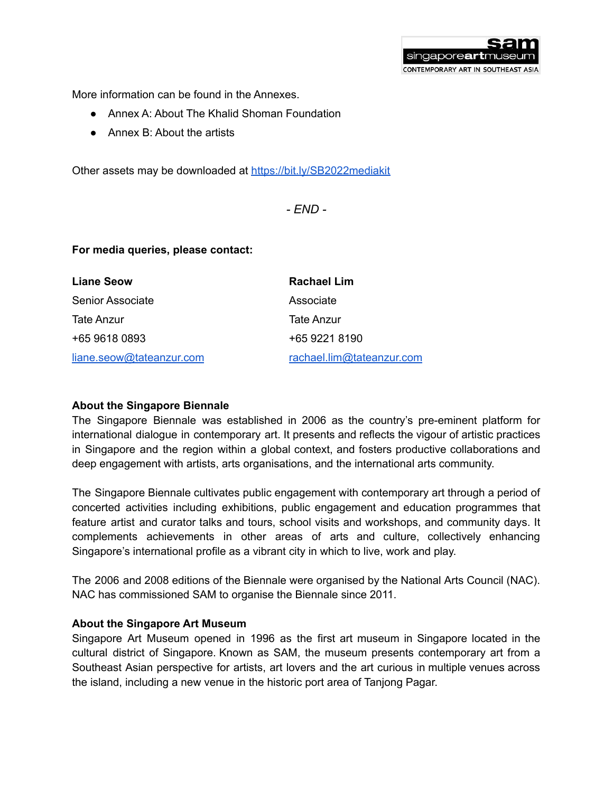More information can be found in the Annexes.

- Annex A: About The Khalid Shoman Foundation
- Annex B: About the artists

Other assets may be downloaded at <https://bit.ly/SB2022mediakit>

*- END -*

singaporeartr

CONTEMPORARY ART IN SOUTHEAST ASIA

# **For media queries, please contact:**

| <b>Liane Seow</b>        | Rachael Lim               |
|--------------------------|---------------------------|
| Senior Associate         | Associate                 |
| Tate Anzur               | Tate Anzur                |
| +65 9618 0893            | +65 9221 8190             |
| liane.seow@tateanzur.com | rachael.lim@tateanzur.com |

#### **About the Singapore Biennale**

The Singapore Biennale was established in 2006 as the country's pre-eminent platform for international dialogue in contemporary art. It presents and reflects the vigour of artistic practices in Singapore and the region within a global context, and fosters productive collaborations and deep engagement with artists, arts organisations, and the international arts community.

The Singapore Biennale cultivates public engagement with contemporary art through a period of concerted activities including exhibitions, public engagement and education programmes that feature artist and curator talks and tours, school visits and workshops, and community days. It complements achievements in other areas of arts and culture, collectively enhancing Singapore's international profile as a vibrant city in which to live, work and play.

The 2006 and 2008 editions of the Biennale were organised by the National Arts Council (NAC). NAC has commissioned SAM to organise the Biennale since 2011.

#### **About the Singapore Art Museum**

Singapore Art Museum opened in 1996 as the first art museum in Singapore located in the cultural district of Singapore. Known as SAM, the museum presents contemporary art from a Southeast Asian perspective for artists, art lovers and the art curious in multiple venues across the island, including a new venue in the historic port area of Tanjong Pagar.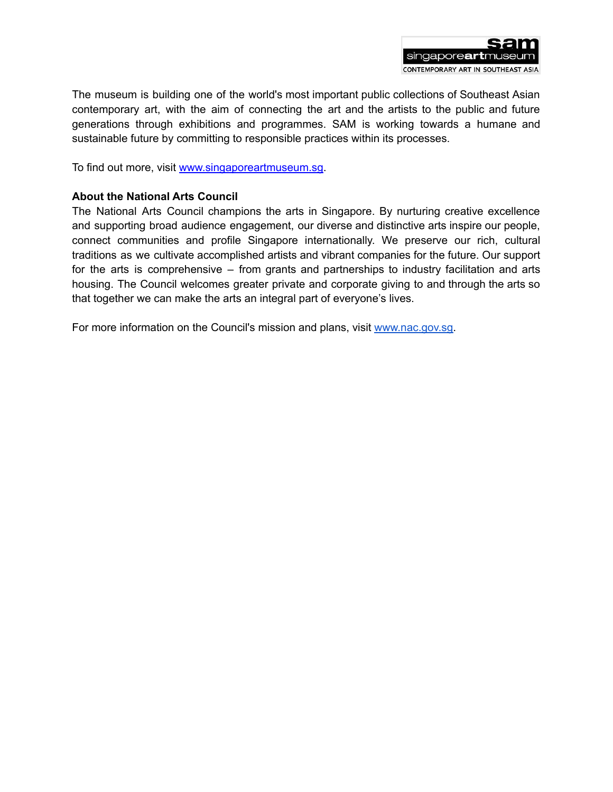

The museum is building one of the world's most important public collections of Southeast Asian contemporary art, with the aim of connecting the art and the artists to the public and future generations through exhibitions and programmes. SAM is working towards a humane and sustainable future by committing to responsible practices within its processes.

To find out more, visit www.singaporeartmuseum.sg.

# **About the National Arts Council**

The National Arts Council champions the arts in Singapore. By nurturing creative excellence and supporting broad audience engagement, our diverse and distinctive arts inspire our people, connect communities and profile Singapore internationally. We preserve our rich, cultural traditions as we cultivate accomplished artists and vibrant companies for the future. Our support for the arts is comprehensive – from grants and partnerships to industry facilitation and arts housing. The Council welcomes greater private and corporate giving to and through the arts so that together we can make the arts an integral part of everyone's lives.

For more information on the Council's mission and plans, visit [www.nac.gov.sg.](http://www.nac.gov.sg)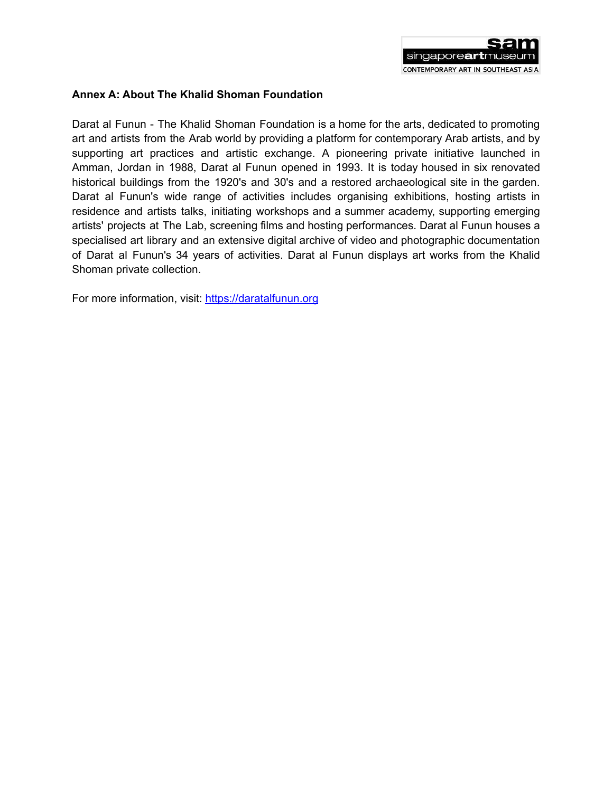

# **Annex A: About The Khalid Shoman Foundation**

Darat al Funun - The Khalid Shoman Foundation is a home for the arts, dedicated to promoting art and artists from the Arab world by providing a platform for contemporary Arab artists, and by supporting art practices and artistic exchange. A pioneering private initiative launched in Amman, Jordan in 1988, Darat al Funun opened in 1993. It is today housed in six renovated historical buildings from the 1920's and 30's and a restored archaeological site in the garden. Darat al Funun's wide range of activities includes organising exhibitions, hosting artists in residence and artists talks, initiating workshops and a summer academy, supporting emerging artists' projects at The Lab, screening films and hosting performances. Darat al Funun houses a specialised art library and an extensive digital archive of video and photographic documentation of Darat al Funun's 34 years of activities. Darat al Funun displays art works from the Khalid Shoman private collection.

For more information, visit: [https://daratalfunun.org](http://www.daratalfunun.org)